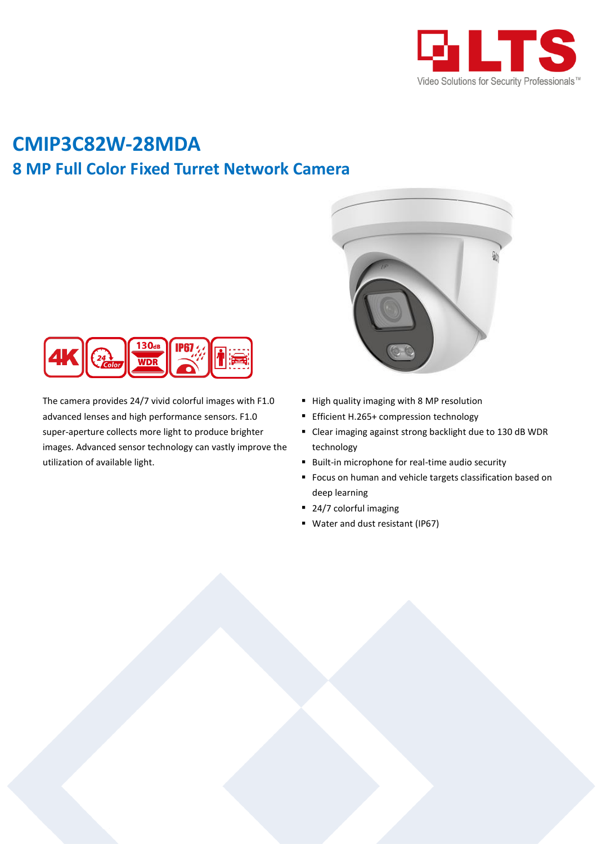

# **CMIP3C82W-28MDA 8 MP Full Color Fixed Turret Network Camera**



The camera provides 24/7 vivid colorful images with F1.0 advanced lenses and high performance sensors. F1.0 super-aperture collects more light to produce brighter images. Advanced sensor technology can vastly improve the utilization of available light.



- High quality imaging with 8 MP resolution
- **Efficient H.265+ compression technology**
- Clear imaging against strong backlight due to 130 dB WDR technology
- **Built-in microphone for real-time audio security**
- **F** Focus on human and vehicle targets classification based on deep learning
- 24/7 colorful imaging
- Water and dust resistant (IP67)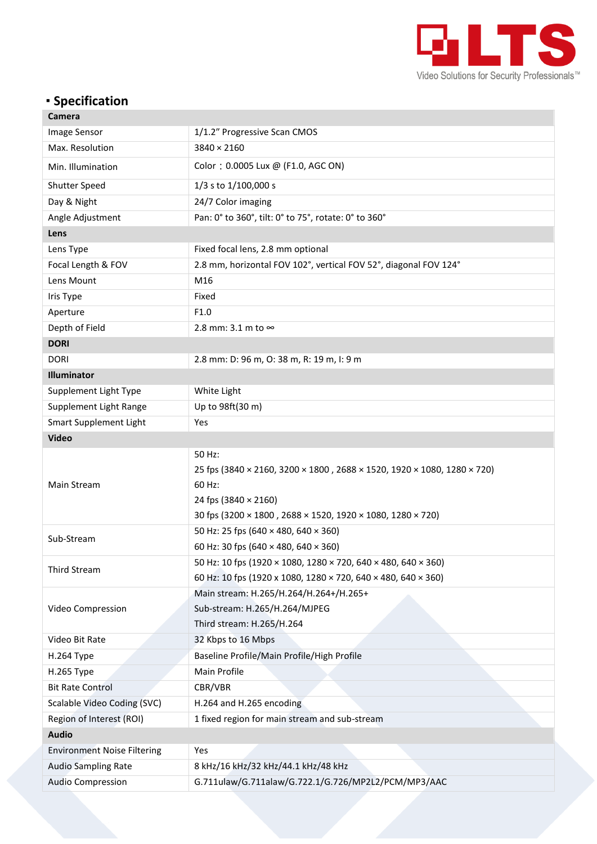

# **Specification**

| 1/1.2" Progressive Scan CMOS<br>Image Sensor<br>Max. Resolution<br>$3840 \times 2160$<br>Color: 0.0005 Lux @ (F1.0, AGC ON)<br>Min. Illumination<br>Shutter Speed<br>1/3 s to 1/100,000 s<br>24/7 Color imaging<br>Day & Night<br>Pan: 0° to 360°, tilt: 0° to 75°, rotate: 0° to 360°<br>Angle Adjustment<br>Lens<br>Fixed focal lens, 2.8 mm optional<br>Lens Type<br>2.8 mm, horizontal FOV 102°, vertical FOV 52°, diagonal FOV 124°<br>Focal Length & FOV<br>Lens Mount<br>M16<br>Fixed<br>Iris Type<br>F1.0<br>Aperture<br>Depth of Field<br>2.8 mm: 3.1 m to $\infty$<br><b>DORI</b><br><b>DORI</b><br>2.8 mm: D: 96 m, O: 38 m, R: 19 m, I: 9 m<br>Illuminator<br>White Light<br>Supplement Light Type<br>Supplement Light Range<br>Up to 98ft(30 m)<br><b>Smart Supplement Light</b><br>Yes<br><b>Video</b><br>50 Hz:<br>25 fps (3840 × 2160, 3200 × 1800, 2688 × 1520, 1920 × 1080, 1280 × 720)<br>Main Stream<br>60 Hz:<br>24 fps (3840 × 2160)<br>30 fps (3200 × 1800, 2688 × 1520, 1920 × 1080, 1280 × 720)<br>50 Hz: 25 fps (640 × 480, 640 × 360)<br>Sub-Stream<br>60 Hz: 30 fps (640 × 480, 640 × 360)<br>50 Hz: 10 fps (1920 × 1080, 1280 × 720, 640 × 480, 640 × 360)<br><b>Third Stream</b><br>60 Hz: 10 fps (1920 x 1080, 1280 × 720, 640 × 480, 640 × 360)<br>Main stream: H.265/H.264/H.264+/H.265+<br>Sub-stream: H.265/H.264/MJPEG<br>Video Compression<br>Third stream: H.265/H.264<br>Video Bit Rate<br>32 Kbps to 16 Mbps<br>Baseline Profile/Main Profile/High Profile<br>H.264 Type<br>Main Profile<br>H.265 Type<br>CBR/VBR<br><b>Bit Rate Control</b><br>Scalable Video Coding (SVC)<br>H.264 and H.265 encoding<br>1 fixed region for main stream and sub-stream<br>Region of Interest (ROI)<br><b>Audio</b><br>Yes<br><b>Environment Noise Filtering</b><br><b>Audio Sampling Rate</b><br>8 kHz/16 kHz/32 kHz/44.1 kHz/48 kHz<br><b>Audio Compression</b><br>G.711ulaw/G.711alaw/G.722.1/G.726/MP2L2/PCM/MP3/AAC | Camera |  |  |  |  |  |
|---------------------------------------------------------------------------------------------------------------------------------------------------------------------------------------------------------------------------------------------------------------------------------------------------------------------------------------------------------------------------------------------------------------------------------------------------------------------------------------------------------------------------------------------------------------------------------------------------------------------------------------------------------------------------------------------------------------------------------------------------------------------------------------------------------------------------------------------------------------------------------------------------------------------------------------------------------------------------------------------------------------------------------------------------------------------------------------------------------------------------------------------------------------------------------------------------------------------------------------------------------------------------------------------------------------------------------------------------------------------------------------------------------------------------------------------------------------------------------------------------------------------------------------------------------------------------------------------------------------------------------------------------------------------------------------------------------------------------------------------------------------------------------------------------------------------------------------------------------------------------------------------------------------------------------------------------|--------|--|--|--|--|--|
|                                                                                                                                                                                                                                                                                                                                                                                                                                                                                                                                                                                                                                                                                                                                                                                                                                                                                                                                                                                                                                                                                                                                                                                                                                                                                                                                                                                                                                                                                                                                                                                                                                                                                                                                                                                                                                                                                                                                                   |        |  |  |  |  |  |
|                                                                                                                                                                                                                                                                                                                                                                                                                                                                                                                                                                                                                                                                                                                                                                                                                                                                                                                                                                                                                                                                                                                                                                                                                                                                                                                                                                                                                                                                                                                                                                                                                                                                                                                                                                                                                                                                                                                                                   |        |  |  |  |  |  |
|                                                                                                                                                                                                                                                                                                                                                                                                                                                                                                                                                                                                                                                                                                                                                                                                                                                                                                                                                                                                                                                                                                                                                                                                                                                                                                                                                                                                                                                                                                                                                                                                                                                                                                                                                                                                                                                                                                                                                   |        |  |  |  |  |  |
|                                                                                                                                                                                                                                                                                                                                                                                                                                                                                                                                                                                                                                                                                                                                                                                                                                                                                                                                                                                                                                                                                                                                                                                                                                                                                                                                                                                                                                                                                                                                                                                                                                                                                                                                                                                                                                                                                                                                                   |        |  |  |  |  |  |
|                                                                                                                                                                                                                                                                                                                                                                                                                                                                                                                                                                                                                                                                                                                                                                                                                                                                                                                                                                                                                                                                                                                                                                                                                                                                                                                                                                                                                                                                                                                                                                                                                                                                                                                                                                                                                                                                                                                                                   |        |  |  |  |  |  |
|                                                                                                                                                                                                                                                                                                                                                                                                                                                                                                                                                                                                                                                                                                                                                                                                                                                                                                                                                                                                                                                                                                                                                                                                                                                                                                                                                                                                                                                                                                                                                                                                                                                                                                                                                                                                                                                                                                                                                   |        |  |  |  |  |  |
|                                                                                                                                                                                                                                                                                                                                                                                                                                                                                                                                                                                                                                                                                                                                                                                                                                                                                                                                                                                                                                                                                                                                                                                                                                                                                                                                                                                                                                                                                                                                                                                                                                                                                                                                                                                                                                                                                                                                                   |        |  |  |  |  |  |
|                                                                                                                                                                                                                                                                                                                                                                                                                                                                                                                                                                                                                                                                                                                                                                                                                                                                                                                                                                                                                                                                                                                                                                                                                                                                                                                                                                                                                                                                                                                                                                                                                                                                                                                                                                                                                                                                                                                                                   |        |  |  |  |  |  |
|                                                                                                                                                                                                                                                                                                                                                                                                                                                                                                                                                                                                                                                                                                                                                                                                                                                                                                                                                                                                                                                                                                                                                                                                                                                                                                                                                                                                                                                                                                                                                                                                                                                                                                                                                                                                                                                                                                                                                   |        |  |  |  |  |  |
|                                                                                                                                                                                                                                                                                                                                                                                                                                                                                                                                                                                                                                                                                                                                                                                                                                                                                                                                                                                                                                                                                                                                                                                                                                                                                                                                                                                                                                                                                                                                                                                                                                                                                                                                                                                                                                                                                                                                                   |        |  |  |  |  |  |
|                                                                                                                                                                                                                                                                                                                                                                                                                                                                                                                                                                                                                                                                                                                                                                                                                                                                                                                                                                                                                                                                                                                                                                                                                                                                                                                                                                                                                                                                                                                                                                                                                                                                                                                                                                                                                                                                                                                                                   |        |  |  |  |  |  |
|                                                                                                                                                                                                                                                                                                                                                                                                                                                                                                                                                                                                                                                                                                                                                                                                                                                                                                                                                                                                                                                                                                                                                                                                                                                                                                                                                                                                                                                                                                                                                                                                                                                                                                                                                                                                                                                                                                                                                   |        |  |  |  |  |  |
|                                                                                                                                                                                                                                                                                                                                                                                                                                                                                                                                                                                                                                                                                                                                                                                                                                                                                                                                                                                                                                                                                                                                                                                                                                                                                                                                                                                                                                                                                                                                                                                                                                                                                                                                                                                                                                                                                                                                                   |        |  |  |  |  |  |
|                                                                                                                                                                                                                                                                                                                                                                                                                                                                                                                                                                                                                                                                                                                                                                                                                                                                                                                                                                                                                                                                                                                                                                                                                                                                                                                                                                                                                                                                                                                                                                                                                                                                                                                                                                                                                                                                                                                                                   |        |  |  |  |  |  |
|                                                                                                                                                                                                                                                                                                                                                                                                                                                                                                                                                                                                                                                                                                                                                                                                                                                                                                                                                                                                                                                                                                                                                                                                                                                                                                                                                                                                                                                                                                                                                                                                                                                                                                                                                                                                                                                                                                                                                   |        |  |  |  |  |  |
|                                                                                                                                                                                                                                                                                                                                                                                                                                                                                                                                                                                                                                                                                                                                                                                                                                                                                                                                                                                                                                                                                                                                                                                                                                                                                                                                                                                                                                                                                                                                                                                                                                                                                                                                                                                                                                                                                                                                                   |        |  |  |  |  |  |
|                                                                                                                                                                                                                                                                                                                                                                                                                                                                                                                                                                                                                                                                                                                                                                                                                                                                                                                                                                                                                                                                                                                                                                                                                                                                                                                                                                                                                                                                                                                                                                                                                                                                                                                                                                                                                                                                                                                                                   |        |  |  |  |  |  |
|                                                                                                                                                                                                                                                                                                                                                                                                                                                                                                                                                                                                                                                                                                                                                                                                                                                                                                                                                                                                                                                                                                                                                                                                                                                                                                                                                                                                                                                                                                                                                                                                                                                                                                                                                                                                                                                                                                                                                   |        |  |  |  |  |  |
|                                                                                                                                                                                                                                                                                                                                                                                                                                                                                                                                                                                                                                                                                                                                                                                                                                                                                                                                                                                                                                                                                                                                                                                                                                                                                                                                                                                                                                                                                                                                                                                                                                                                                                                                                                                                                                                                                                                                                   |        |  |  |  |  |  |
|                                                                                                                                                                                                                                                                                                                                                                                                                                                                                                                                                                                                                                                                                                                                                                                                                                                                                                                                                                                                                                                                                                                                                                                                                                                                                                                                                                                                                                                                                                                                                                                                                                                                                                                                                                                                                                                                                                                                                   |        |  |  |  |  |  |
|                                                                                                                                                                                                                                                                                                                                                                                                                                                                                                                                                                                                                                                                                                                                                                                                                                                                                                                                                                                                                                                                                                                                                                                                                                                                                                                                                                                                                                                                                                                                                                                                                                                                                                                                                                                                                                                                                                                                                   |        |  |  |  |  |  |
|                                                                                                                                                                                                                                                                                                                                                                                                                                                                                                                                                                                                                                                                                                                                                                                                                                                                                                                                                                                                                                                                                                                                                                                                                                                                                                                                                                                                                                                                                                                                                                                                                                                                                                                                                                                                                                                                                                                                                   |        |  |  |  |  |  |
|                                                                                                                                                                                                                                                                                                                                                                                                                                                                                                                                                                                                                                                                                                                                                                                                                                                                                                                                                                                                                                                                                                                                                                                                                                                                                                                                                                                                                                                                                                                                                                                                                                                                                                                                                                                                                                                                                                                                                   |        |  |  |  |  |  |
|                                                                                                                                                                                                                                                                                                                                                                                                                                                                                                                                                                                                                                                                                                                                                                                                                                                                                                                                                                                                                                                                                                                                                                                                                                                                                                                                                                                                                                                                                                                                                                                                                                                                                                                                                                                                                                                                                                                                                   |        |  |  |  |  |  |
|                                                                                                                                                                                                                                                                                                                                                                                                                                                                                                                                                                                                                                                                                                                                                                                                                                                                                                                                                                                                                                                                                                                                                                                                                                                                                                                                                                                                                                                                                                                                                                                                                                                                                                                                                                                                                                                                                                                                                   |        |  |  |  |  |  |
|                                                                                                                                                                                                                                                                                                                                                                                                                                                                                                                                                                                                                                                                                                                                                                                                                                                                                                                                                                                                                                                                                                                                                                                                                                                                                                                                                                                                                                                                                                                                                                                                                                                                                                                                                                                                                                                                                                                                                   |        |  |  |  |  |  |
|                                                                                                                                                                                                                                                                                                                                                                                                                                                                                                                                                                                                                                                                                                                                                                                                                                                                                                                                                                                                                                                                                                                                                                                                                                                                                                                                                                                                                                                                                                                                                                                                                                                                                                                                                                                                                                                                                                                                                   |        |  |  |  |  |  |
|                                                                                                                                                                                                                                                                                                                                                                                                                                                                                                                                                                                                                                                                                                                                                                                                                                                                                                                                                                                                                                                                                                                                                                                                                                                                                                                                                                                                                                                                                                                                                                                                                                                                                                                                                                                                                                                                                                                                                   |        |  |  |  |  |  |
|                                                                                                                                                                                                                                                                                                                                                                                                                                                                                                                                                                                                                                                                                                                                                                                                                                                                                                                                                                                                                                                                                                                                                                                                                                                                                                                                                                                                                                                                                                                                                                                                                                                                                                                                                                                                                                                                                                                                                   |        |  |  |  |  |  |
|                                                                                                                                                                                                                                                                                                                                                                                                                                                                                                                                                                                                                                                                                                                                                                                                                                                                                                                                                                                                                                                                                                                                                                                                                                                                                                                                                                                                                                                                                                                                                                                                                                                                                                                                                                                                                                                                                                                                                   |        |  |  |  |  |  |
|                                                                                                                                                                                                                                                                                                                                                                                                                                                                                                                                                                                                                                                                                                                                                                                                                                                                                                                                                                                                                                                                                                                                                                                                                                                                                                                                                                                                                                                                                                                                                                                                                                                                                                                                                                                                                                                                                                                                                   |        |  |  |  |  |  |
|                                                                                                                                                                                                                                                                                                                                                                                                                                                                                                                                                                                                                                                                                                                                                                                                                                                                                                                                                                                                                                                                                                                                                                                                                                                                                                                                                                                                                                                                                                                                                                                                                                                                                                                                                                                                                                                                                                                                                   |        |  |  |  |  |  |
|                                                                                                                                                                                                                                                                                                                                                                                                                                                                                                                                                                                                                                                                                                                                                                                                                                                                                                                                                                                                                                                                                                                                                                                                                                                                                                                                                                                                                                                                                                                                                                                                                                                                                                                                                                                                                                                                                                                                                   |        |  |  |  |  |  |
|                                                                                                                                                                                                                                                                                                                                                                                                                                                                                                                                                                                                                                                                                                                                                                                                                                                                                                                                                                                                                                                                                                                                                                                                                                                                                                                                                                                                                                                                                                                                                                                                                                                                                                                                                                                                                                                                                                                                                   |        |  |  |  |  |  |
|                                                                                                                                                                                                                                                                                                                                                                                                                                                                                                                                                                                                                                                                                                                                                                                                                                                                                                                                                                                                                                                                                                                                                                                                                                                                                                                                                                                                                                                                                                                                                                                                                                                                                                                                                                                                                                                                                                                                                   |        |  |  |  |  |  |
|                                                                                                                                                                                                                                                                                                                                                                                                                                                                                                                                                                                                                                                                                                                                                                                                                                                                                                                                                                                                                                                                                                                                                                                                                                                                                                                                                                                                                                                                                                                                                                                                                                                                                                                                                                                                                                                                                                                                                   |        |  |  |  |  |  |
|                                                                                                                                                                                                                                                                                                                                                                                                                                                                                                                                                                                                                                                                                                                                                                                                                                                                                                                                                                                                                                                                                                                                                                                                                                                                                                                                                                                                                                                                                                                                                                                                                                                                                                                                                                                                                                                                                                                                                   |        |  |  |  |  |  |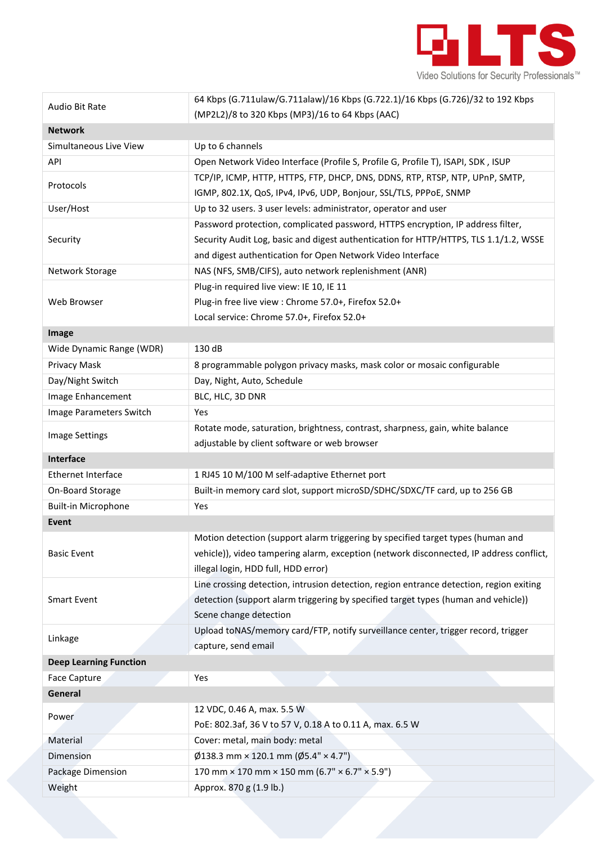

| Audio Bit Rate                | 64 Kbps (G.711ulaw/G.711alaw)/16 Kbps (G.722.1)/16 Kbps (G.726)/32 to 192 Kbps<br>(MP2L2)/8 to 320 Kbps (MP3)/16 to 64 Kbps (AAC)                                                                                                      |  |  |  |
|-------------------------------|----------------------------------------------------------------------------------------------------------------------------------------------------------------------------------------------------------------------------------------|--|--|--|
| <b>Network</b>                |                                                                                                                                                                                                                                        |  |  |  |
| Simultaneous Live View        | Up to 6 channels                                                                                                                                                                                                                       |  |  |  |
| API                           | Open Network Video Interface (Profile S, Profile G, Profile T), ISAPI, SDK, ISUP                                                                                                                                                       |  |  |  |
| Protocols                     | TCP/IP, ICMP, HTTP, HTTPS, FTP, DHCP, DNS, DDNS, RTP, RTSP, NTP, UPnP, SMTP,<br>IGMP, 802.1X, QoS, IPv4, IPv6, UDP, Bonjour, SSL/TLS, PPPoE, SNMP                                                                                      |  |  |  |
| User/Host                     | Up to 32 users. 3 user levels: administrator, operator and user                                                                                                                                                                        |  |  |  |
| Security                      | Password protection, complicated password, HTTPS encryption, IP address filter,<br>Security Audit Log, basic and digest authentication for HTTP/HTTPS, TLS 1.1/1.2, WSSE<br>and digest authentication for Open Network Video Interface |  |  |  |
| Network Storage               | NAS (NFS, SMB/CIFS), auto network replenishment (ANR)                                                                                                                                                                                  |  |  |  |
| Web Browser                   | Plug-in required live view: IE 10, IE 11<br>Plug-in free live view : Chrome 57.0+, Firefox 52.0+<br>Local service: Chrome 57.0+, Firefox 52.0+                                                                                         |  |  |  |
| Image                         |                                                                                                                                                                                                                                        |  |  |  |
| Wide Dynamic Range (WDR)      | 130 dB                                                                                                                                                                                                                                 |  |  |  |
| Privacy Mask                  | 8 programmable polygon privacy masks, mask color or mosaic configurable                                                                                                                                                                |  |  |  |
| Day/Night Switch              | Day, Night, Auto, Schedule                                                                                                                                                                                                             |  |  |  |
| Image Enhancement             | BLC, HLC, 3D DNR                                                                                                                                                                                                                       |  |  |  |
| Image Parameters Switch       | Yes                                                                                                                                                                                                                                    |  |  |  |
| <b>Image Settings</b>         | Rotate mode, saturation, brightness, contrast, sharpness, gain, white balance<br>adjustable by client software or web browser                                                                                                          |  |  |  |
| <b>Interface</b>              |                                                                                                                                                                                                                                        |  |  |  |
| <b>Ethernet Interface</b>     | 1 RJ45 10 M/100 M self-adaptive Ethernet port                                                                                                                                                                                          |  |  |  |
| On-Board Storage              | Built-in memory card slot, support microSD/SDHC/SDXC/TF card, up to 256 GB                                                                                                                                                             |  |  |  |
| Built-in Microphone           | Yes                                                                                                                                                                                                                                    |  |  |  |
| Event                         |                                                                                                                                                                                                                                        |  |  |  |
| <b>Basic Event</b>            | Motion detection (support alarm triggering by specified target types (human and<br>vehicle)), video tampering alarm, exception (network disconnected, IP address conflict,<br>illegal login, HDD full, HDD error)                      |  |  |  |
| <b>Smart Event</b>            | Line crossing detection, intrusion detection, region entrance detection, region exiting<br>detection (support alarm triggering by specified target types (human and vehicle))<br>Scene change detection                                |  |  |  |
| Linkage                       | Upload toNAS/memory card/FTP, notify surveillance center, trigger record, trigger<br>capture, send email                                                                                                                               |  |  |  |
| <b>Deep Learning Function</b> |                                                                                                                                                                                                                                        |  |  |  |
| <b>Face Capture</b>           | Yes                                                                                                                                                                                                                                    |  |  |  |
| General                       |                                                                                                                                                                                                                                        |  |  |  |
| Power                         | 12 VDC, 0.46 A, max. 5.5 W                                                                                                                                                                                                             |  |  |  |
|                               | PoE: 802.3af, 36 V to 57 V, 0.18 A to 0.11 A, max. 6.5 W                                                                                                                                                                               |  |  |  |
| Material                      | Cover: metal, main body: metal                                                                                                                                                                                                         |  |  |  |
| Dimension                     | $\emptyset$ 138.3 mm × 120.1 mm ( $\emptyset$ 5.4" × 4.7")                                                                                                                                                                             |  |  |  |
| Package Dimension             | 170 mm $\times$ 170 mm $\times$ 150 mm (6.7" $\times$ 6.7" $\times$ 5.9")                                                                                                                                                              |  |  |  |
| Weight                        | Approx. 870 g (1.9 lb.)                                                                                                                                                                                                                |  |  |  |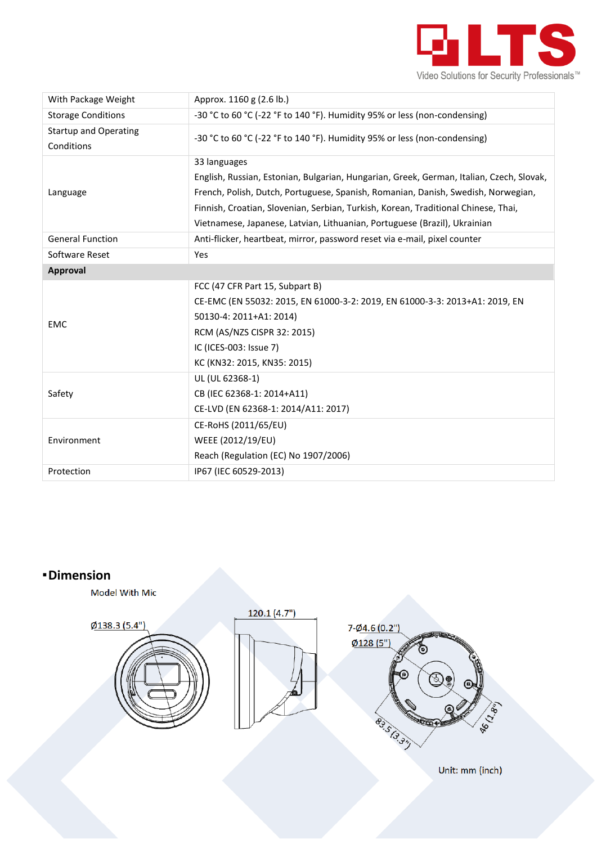

| With Package Weight                        | Approx. 1160 g (2.6 lb.)                                                                 |  |  |  |
|--------------------------------------------|------------------------------------------------------------------------------------------|--|--|--|
| <b>Storage Conditions</b>                  | -30 °C to 60 °C (-22 °F to 140 °F). Humidity 95% or less (non-condensing)                |  |  |  |
| <b>Startup and Operating</b><br>Conditions | -30 °C to 60 °C (-22 °F to 140 °F). Humidity 95% or less (non-condensing)                |  |  |  |
|                                            | 33 languages                                                                             |  |  |  |
|                                            | English, Russian, Estonian, Bulgarian, Hungarian, Greek, German, Italian, Czech, Slovak, |  |  |  |
| Language                                   | French, Polish, Dutch, Portuguese, Spanish, Romanian, Danish, Swedish, Norwegian,        |  |  |  |
|                                            | Finnish, Croatian, Slovenian, Serbian, Turkish, Korean, Traditional Chinese, Thai,       |  |  |  |
|                                            | Vietnamese, Japanese, Latvian, Lithuanian, Portuguese (Brazil), Ukrainian                |  |  |  |
| <b>General Function</b>                    | Anti-flicker, heartbeat, mirror, password reset via e-mail, pixel counter                |  |  |  |
| Software Reset                             | Yes                                                                                      |  |  |  |
| Approval                                   |                                                                                          |  |  |  |
|                                            | FCC (47 CFR Part 15, Subpart B)                                                          |  |  |  |
|                                            | CE-EMC (EN 55032: 2015, EN 61000-3-2: 2019, EN 61000-3-3: 2013+A1: 2019, EN              |  |  |  |
| <b>EMC</b>                                 | 50130-4: 2011+A1: 2014)                                                                  |  |  |  |
|                                            | RCM (AS/NZS CISPR 32: 2015)                                                              |  |  |  |
|                                            | IC (ICES-003: Issue 7)                                                                   |  |  |  |
|                                            | KC (KN32: 2015, KN35: 2015)                                                              |  |  |  |
| Safety                                     | UL (UL 62368-1)                                                                          |  |  |  |
|                                            | CB (IEC 62368-1: 2014+A11)                                                               |  |  |  |
|                                            | CE-LVD (EN 62368-1: 2014/A11: 2017)                                                      |  |  |  |
|                                            | CE-RoHS (2011/65/EU)                                                                     |  |  |  |
| Environment                                | WEEE (2012/19/EU)                                                                        |  |  |  |
|                                            | Reach (Regulation (EC) No 1907/2006)                                                     |  |  |  |
| Protection                                 | IP67 (IEC 60529-2013)                                                                    |  |  |  |

## **Dimension**